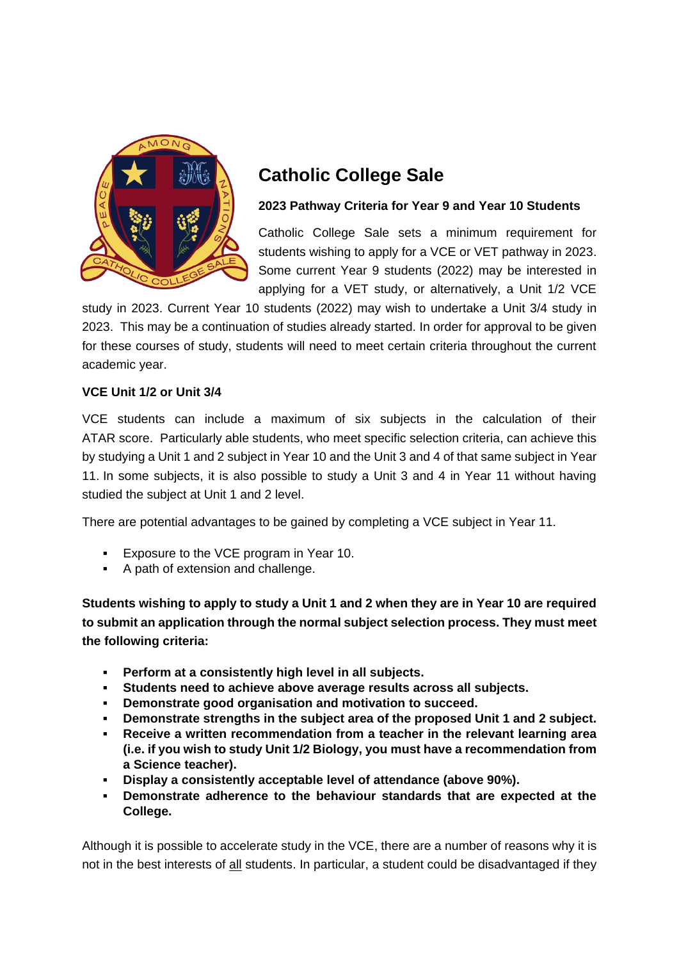

## **Catholic College Sale**

## **2023 Pathway Criteria for Year 9 and Year 10 Students**

Catholic College Sale sets a minimum requirement for students wishing to apply for a VCE or VET pathway in 2023. Some current Year 9 students (2022) may be interested in applying for a VET study, or alternatively, a Unit 1/2 VCE

study in 2023. Current Year 10 students (2022) may wish to undertake a Unit 3/4 study in 2023. This may be a continuation of studies already started. In order for approval to be given for these courses of study, students will need to meet certain criteria throughout the current academic year.

## **VCE Unit 1/2 or Unit 3/4**

VCE students can include a maximum of six subjects in the calculation of their ATAR score. Particularly able students, who meet specific selection criteria, can achieve this by studying a Unit 1 and 2 subject in Year 10 and the Unit 3 and 4 of that same subject in Year 11. In some subjects, it is also possible to study a Unit 3 and 4 in Year 11 without having studied the subject at Unit 1 and 2 level.

There are potential advantages to be gained by completing a VCE subject in Year 11.

- Exposure to the VCE program in Year 10.
- A path of extension and challenge.

**Students wishing to apply to study a Unit 1 and 2 when they are in Year 10 are required to submit an application through the normal subject selection process. They must meet the following criteria:**

- **Perform at a consistently high level in all subjects.**
- **Students need to achieve above average results across all subjects.**
- **Demonstrate good organisation and motivation to succeed.**
- **Demonstrate strengths in the subject area of the proposed Unit 1 and 2 subject.**
- **Receive a written recommendation from a teacher in the relevant learning area (i.e. if you wish to study Unit 1/2 Biology, you must have a recommendation from a Science teacher).**
- **Display a consistently acceptable level of attendance (above 90%).**
- **Demonstrate adherence to the behaviour standards that are expected at the College.**

Although it is possible to accelerate study in the VCE, there are a number of reasons why it is not in the best interests of all students. In particular, a student could be disadvantaged if they